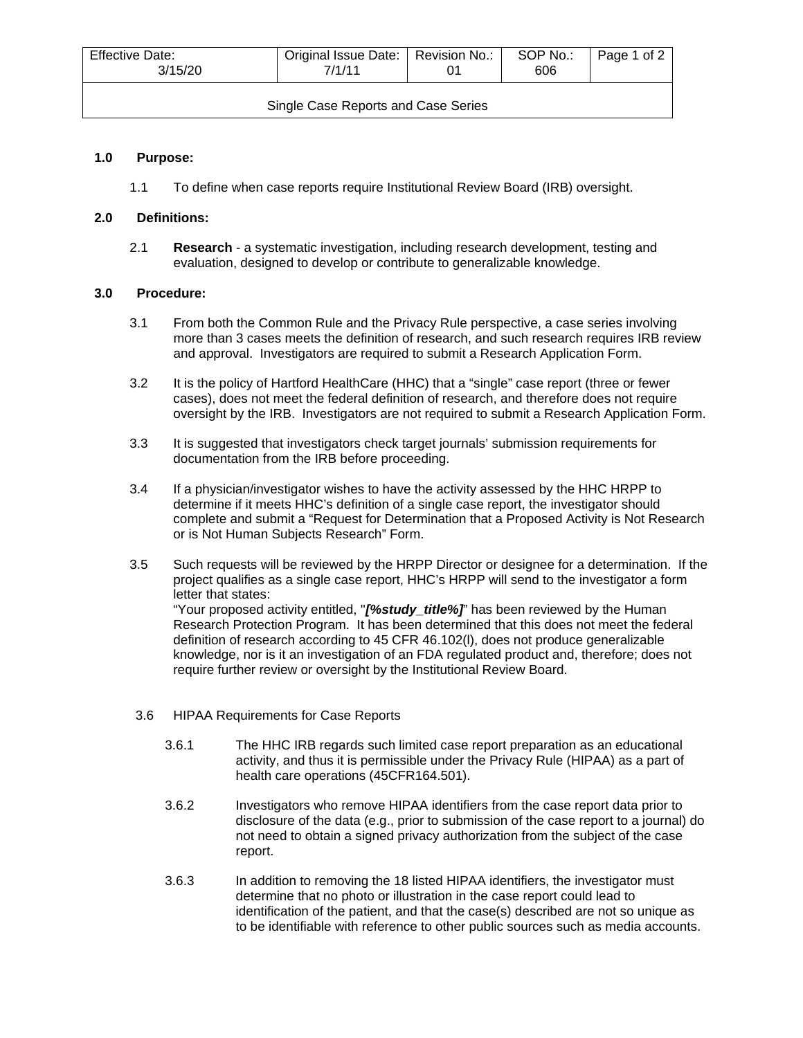| Effective Date:<br>Original Issue Date:   Revision No.:<br>3/15/20<br>7/1/11 |  | SOP No.:<br>606 | Page 1 of 2 |
|------------------------------------------------------------------------------|--|-----------------|-------------|
|                                                                              |  |                 |             |

Single Case Reports and Case Series

### **1.0 Purpose:**

1.1 To define when case reports require Institutional Review Board (IRB) oversight.

### **2.0 Definitions:**

2.1 **Research** - a systematic investigation, including research development, testing and evaluation, designed to develop or contribute to generalizable knowledge.

#### **3.0 Procedure:**

- 3.1 From both the Common Rule and the Privacy Rule perspective, a case series involving more than 3 cases meets the definition of research, and such research requires IRB review and approval. Investigators are required to submit a Research Application Form.
- 3.2 It is the policy of Hartford HealthCare (HHC) that a "single" case report (three or fewer cases), does not meet the federal definition of research, and therefore does not require oversight by the IRB. Investigators are not required to submit a Research Application Form.
- 3.3 It is suggested that investigators check target journals' submission requirements for documentation from the IRB before proceeding.
- 3.4 If a physician/investigator wishes to have the activity assessed by the HHC HRPP to determine if it meets HHC's definition of a single case report, the investigator should complete and submit a "Request for Determination that a Proposed Activity is Not Research or is Not Human Subjects Research" Form.
- 3.5 Such requests will be reviewed by the HRPP Director or designee for a determination. If the project qualifies as a single case report, HHC's HRPP will send to the investigator a form letter that states: "Your proposed activity entitled, ''*[%study\_title%]*" has been reviewed by the Human Research Protection Program. It has been determined that this does not meet the federal definition of research according to 45 CFR 46.102(l), does not produce generalizable knowledge, nor is it an investigation of an FDA regulated product and, therefore; does not require further review or oversight by the Institutional Review Board.
- 3.6 HIPAA Requirements for Case Reports
	- 3.6.1 The HHC IRB regards such limited case report preparation as an educational activity, and thus it is permissible under the Privacy Rule (HIPAA) as a part of health care operations (45CFR164.501).
	- 3.6.2 Investigators who remove HIPAA identifiers from the case report data prior to disclosure of the data (e.g., prior to submission of the case report to a journal) do not need to obtain a signed privacy authorization from the subject of the case report.
	- 3.6.3 In addition to removing the 18 listed HIPAA identifiers, the investigator must determine that no photo or illustration in the case report could lead to identification of the patient, and that the case(s) described are not so unique as to be identifiable with reference to other public sources such as media accounts.